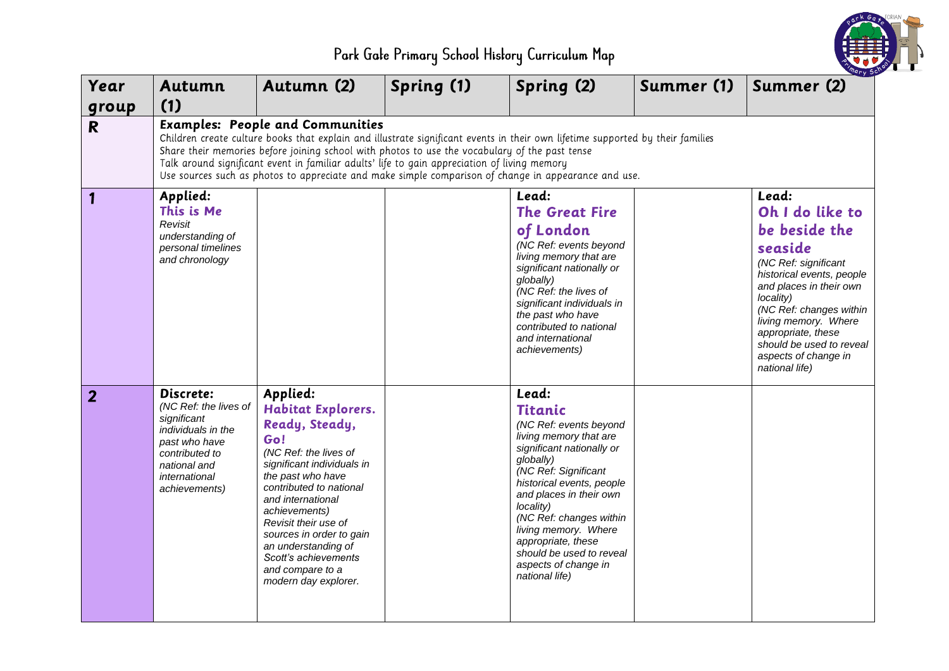

Park Gale Primary School History Curriculum Map

| Year           | Autumn                                                                                                                                                                                                                                                                                                                                                                                                                                                                              | Autumn (2)                                                                                                                                                                                                                                                                                                                                                 | Spring (1) | Spring (2)                                                                                                                                                                                                                                                                                                                                                        | Summer (1) | <i>ary</i> 50<br>Summer (2)                                                                                                                                                                                                                                                                      |  |  |  |
|----------------|-------------------------------------------------------------------------------------------------------------------------------------------------------------------------------------------------------------------------------------------------------------------------------------------------------------------------------------------------------------------------------------------------------------------------------------------------------------------------------------|------------------------------------------------------------------------------------------------------------------------------------------------------------------------------------------------------------------------------------------------------------------------------------------------------------------------------------------------------------|------------|-------------------------------------------------------------------------------------------------------------------------------------------------------------------------------------------------------------------------------------------------------------------------------------------------------------------------------------------------------------------|------------|--------------------------------------------------------------------------------------------------------------------------------------------------------------------------------------------------------------------------------------------------------------------------------------------------|--|--|--|
| group          | (1)                                                                                                                                                                                                                                                                                                                                                                                                                                                                                 |                                                                                                                                                                                                                                                                                                                                                            |            |                                                                                                                                                                                                                                                                                                                                                                   |            |                                                                                                                                                                                                                                                                                                  |  |  |  |
| $\mathbf{R}$   | <b>Examples: People and Communities</b><br>Children create culture books that explain and illustrate significant events in their own lifetime supported by their families<br>Share their memories before joining school with photos to use the vocabulary of the past tense<br>Talk around significant event in familiar adults' life to gain appreciation of living memory<br>Use sources such as photos to appreciate and make simple comparison of change in appearance and use. |                                                                                                                                                                                                                                                                                                                                                            |            |                                                                                                                                                                                                                                                                                                                                                                   |            |                                                                                                                                                                                                                                                                                                  |  |  |  |
| 1              | Applied:<br>This is Me<br>Revisit<br>understanding of<br>personal timelines<br>and chronology                                                                                                                                                                                                                                                                                                                                                                                       |                                                                                                                                                                                                                                                                                                                                                            |            | Lead:<br><b>The Great Fire</b><br>of London<br>(NC Ref: events beyond<br>living memory that are<br>significant nationally or<br>globally)<br>(NC Ref: the lives of<br>significant individuals in<br>the past who have<br>contributed to national<br>and international<br>achievements)                                                                            |            | Lead:<br>Oh I do like to<br>be beside the<br>seaside<br>(NC Ref: significant<br>historical events, people<br>and places in their own<br>locality)<br>(NC Ref: changes within<br>living memory. Where<br>appropriate, these<br>should be used to reveal<br>aspects of change in<br>national life) |  |  |  |
| $\overline{2}$ | Discrete:<br>(NC Ref: the lives of<br>significant<br>individuals in the<br>past who have<br>contributed to<br>national and<br>international<br>achievements)                                                                                                                                                                                                                                                                                                                        | Applied:<br><b>Habitat Explorers.</b><br>Ready, Steady,<br>Go!<br>(NC Ref: the lives of<br>significant individuals in<br>the past who have<br>contributed to national<br>and international<br>achievements)<br>Revisit their use of<br>sources in order to gain<br>an understanding of<br>Scott's achievements<br>and compare to a<br>modern day explorer. |            | Lead:<br><b>Titanic</b><br>(NC Ref: events beyond<br>living memory that are<br>significant nationally or<br>globally)<br>(NC Ref: Significant<br>historical events, people<br>and places in their own<br>locality)<br>(NC Ref: changes within<br>living memory. Where<br>appropriate, these<br>should be used to reveal<br>aspects of change in<br>national life) |            |                                                                                                                                                                                                                                                                                                  |  |  |  |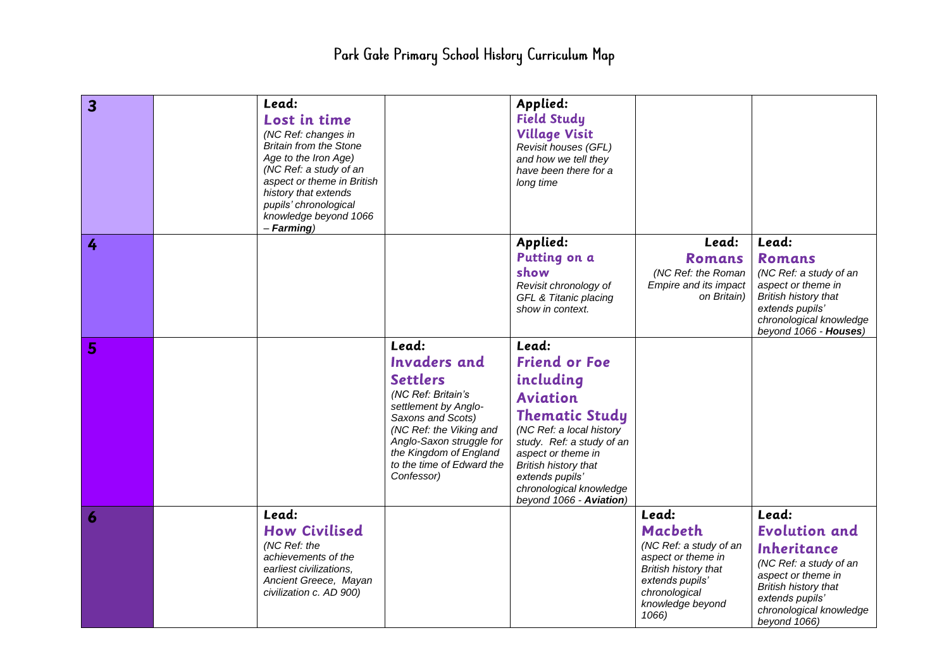## Park Gale Primary School History Curriculum Map

| $\overline{\mathbf{3}}$ | Lead:<br>Lost in time<br>(NC Ref: changes in<br><b>Britain from the Stone</b><br>Age to the Iron Age)<br>(NC Ref: a study of an<br>aspect or theme in British<br>history that extends<br>pupils' chronological<br>knowledge beyond 1066<br>$-$ Farming) |                                                                                                                                                                                                                                                | Applied:<br><b>Field Study</b><br><b>Village Visit</b><br>Revisit houses (GFL)<br>and how we tell they<br>have been there for a<br>long time                                                                                                                           |                                                                                                                                                           |                                                                                                                                                                                    |
|-------------------------|---------------------------------------------------------------------------------------------------------------------------------------------------------------------------------------------------------------------------------------------------------|------------------------------------------------------------------------------------------------------------------------------------------------------------------------------------------------------------------------------------------------|------------------------------------------------------------------------------------------------------------------------------------------------------------------------------------------------------------------------------------------------------------------------|-----------------------------------------------------------------------------------------------------------------------------------------------------------|------------------------------------------------------------------------------------------------------------------------------------------------------------------------------------|
| 4                       |                                                                                                                                                                                                                                                         |                                                                                                                                                                                                                                                | Applied:<br>Putting on a<br>show<br>Revisit chronology of<br>GFL & Titanic placing<br>show in context.                                                                                                                                                                 | Lead:<br>Romans<br>(NC Ref: the Roman<br>Empire and its impact<br>on Britain)                                                                             | Lead:<br><b>Romans</b><br>(NC Ref: a study of an<br>aspect or theme in<br><b>British history that</b><br>extends pupils'<br>chronological knowledge<br>beyond 1066 - Houses)       |
| 5                       |                                                                                                                                                                                                                                                         | Lead:<br><b>Invaders</b> and<br><b>Settlers</b><br>(NC Ref: Britain's<br>settlement by Anglo-<br>Saxons and Scots)<br>(NC Ref: the Viking and<br>Anglo-Saxon struggle for<br>the Kingdom of England<br>to the time of Edward the<br>Confessor) | Lead:<br><b>Friend or Foe</b><br>including<br><b>Aviation</b><br><b>Thematic Study</b><br>(NC Ref: a local history<br>study. Ref: a study of an<br>aspect or theme in<br>British history that<br>extends pupils'<br>chronological knowledge<br>beyond 1066 - Aviation) |                                                                                                                                                           |                                                                                                                                                                                    |
| 6                       | Lead:<br><b>How Civilised</b><br>(NC Ref: the<br>achievements of the<br>earliest civilizations,<br>Ancient Greece, Mayan<br>civilization c. AD 900)                                                                                                     |                                                                                                                                                                                                                                                |                                                                                                                                                                                                                                                                        | Lead:<br>Macbeth<br>(NC Ref: a study of an<br>aspect or theme in<br>British history that<br>extends pupils'<br>chronological<br>knowledge beyond<br>1066) | Lead:<br><b>Evolution and</b><br>Inheritance<br>(NC Ref: a study of an<br>aspect or theme in<br>British history that<br>extends pupils'<br>chronological knowledge<br>beyond 1066) |